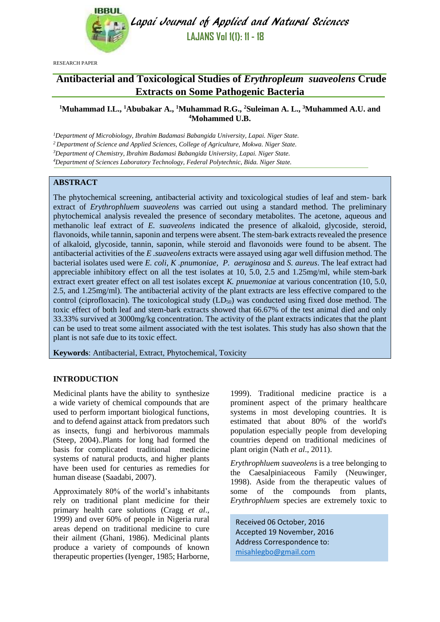

Lapai Journal of Applied and Natural Sciences **LAJANS Vol 1(1): 11 - 18**

RESEARCH PAPER

# **Antibacterial and Toxicological Studies of** *Erythropleum**suaveolens* **Crude Extracts on Some Pathogenic Bacteria**

# **<sup>1</sup>Muhammad I.L., <sup>1</sup>Abubakar A., <sup>1</sup>Muhammad R.G., <sup>2</sup>Suleiman A. L., <sup>3</sup>Muhammed A.U. and <sup>4</sup>Mohammed U.B.**

*Department of Microbiology, Ibrahim Badamasi Babangida University, Lapai. Niger State. Department of Science and Applied Sciences, College of Agriculture, Mokwa. Niger State. Department of Chemistry, Ibrahim Badamasi Babangida University, Lapai. Niger State. Department of Sciences Laboratory Technology, Federal Polytechnic, Bida. Niger State.*

# **ABSTRACT**

The phytochemical screening, antibacterial activity and toxicological studies of leaf and stem- bark extract of *Erythrophluem suaveolens* was carried out using a standard method. The preliminary phytochemical analysis revealed the presence of secondary metabolites. The acetone, aqueous and methanolic leaf extract of *E. suaveolens* indicated the presence of alkaloid, glycoside, steroid, flavonoids, while tannin, saponin and terpens were absent. The stem-bark extracts revealed the presence of alkaloid, glycoside, tannin, saponin, while steroid and flavonoids were found to be absent. The antibacterial activities of the *E .suaveolens* extracts were assayed using agar well diffusion method. The bacterial isolates used were *E. coli, K .pnumoniae, P. aeruginosa* and *S. aureus*. The leaf extract had appreciable inhibitory effect on all the test isolates at 10, 5.0, 2.5 and 1.25mg/ml, while stem-bark extract exert greater effect on all test isolates except *K. pnuemoniae* at various concentration (10, 5.0, 2.5, and 1.25mg/ml). The antibacterial activity of the plant extracts are less effective compared to the control (ciprofloxacin). The toxicological study  $(LD_{50})$  was conducted using fixed dose method. The toxic effect of both leaf and stem-bark extracts showed that 66.67% of the test animal died and only 33.33% survived at 3000mg/kg concentration. The activity of the plant extracts indicates that the plant can be used to treat some ailment associated with the test isolates. This study has also shown that the plant is not safe due to its toxic effect.

**Keywords**: Antibacterial, Extract, Phytochemical, Toxicity

### **INTRODUCTION**

Medicinal plants have the ability to synthesize a wide variety of chemical compounds that are used to perform important biological functions, and to defend against attack from predators such as insects, fungi and herbivorous mammals (Steep, 2004)..Plants for long had formed the basis for complicated traditional medicine systems of natural products, and higher plants have been used for centuries as remedies for human disease (Saadabi, 2007).

Approximately 80% of the world's inhabitants rely on traditional plant medicine for their primary health care solutions (Cragg *et al*., 1999) and over 60% of people in Nigeria rural areas depend on traditional medicine to cure their ailment (Ghani, 1986). Medicinal plants produce a variety of compounds of known therapeutic properties (Iyenger, 1985; Harborne,

1999). Traditional medicine practice is a prominent aspect of the primary healthcare systems in most developing countries. It is estimated that about 80% of the world's population especially people from developing countries depend on traditional medicines of plant origin (Nath *et al*., 2011).

*Erythrophluem suaveolens* is a tree belonging to the Caesalpiniaceous Family (Neuwinger, 1998). Aside from the therapeutic values of some of the compounds from plants, *Erythrophluem* species are extremely toxic to

Received 06 October, 2016 Accepted 19 November, 2016 Address Correspondence to: [misahlegbo@gmail.com](mailto:misahlegbo@gmail.com)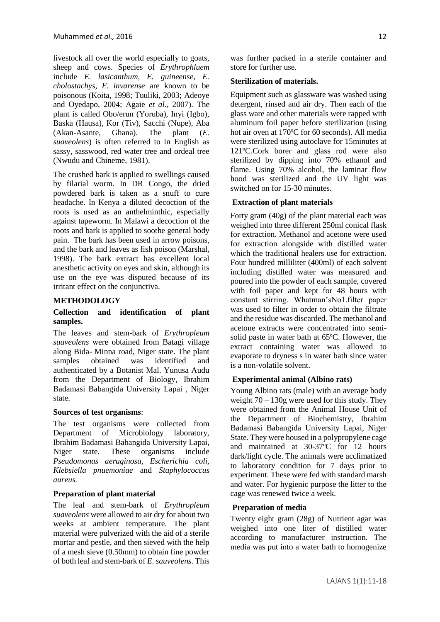livestock all over the world especially to goats, sheep and cows. Species of *Erythrophluem* include *E. lasicanthum, E. guineense, E. cholostachys, E. invarense* are known to be poisonous (Koita, 1998; Tuuliki, 2003; Adeoye and Oyedapo, 2004; Agaie *et al*., 2007). The plant is called Obo/erun (Yoruba), Inyi (Igbo), Baska (Hausa), Kor (Tiv), Sacchi (Nupe), Aba (Akan-Asante, Ghana). The plant (*E. suaveolens*) is often referred to in English as sassy, sasswood, red water tree and ordeal tree (Nwudu and Chineme, 1981).

The crushed bark is applied to swellings caused by filarial worm. In DR Congo, the dried powdered bark is taken as a snuff to cure headache. In Kenya a diluted decoction of the roots is used as an anthelminthic, especially against tapeworm. In Malawi a decoction of the roots and bark is applied to soothe general body pain. The bark has been used in arrow poisons, and the bark and leaves as fish poison (Marshal, 1998). The bark extract has excellent local anesthetic activity on eyes and skin, although its use on the eye was disputed because of its irritant effect on the conjunctiva.

### **METHODOLOGY**

#### **Collection and identification of plant samples.**

The leaves and stem-bark of *Erythropleum suaveolens* were obtained from Batagi village along Bida- Minna road, Niger state. The plant samples obtained was identified and authenticated by a Botanist Mal. Yunusa Audu from the Department of Biology, Ibrahim Badamasi Babangida University Lapai , Niger state.

#### **Sources of test organisms**:

The test organisms were collected from Department of Microbiology laboratory, Ibrahim Badamasi Babangida University Lapai, Niger state. These organisms include *Pseudomonas aeruginosa, Escherichia coli, Klebsiella pnuemoniae* and *Staphylococcus aureus.*

#### **Preparation of plant material**

The leaf and stem-bark of *Erythropleum suaveolens* were allowed to air dry for about two weeks at ambient temperature. The plant material were pulverized with the aid of a sterile mortar and pestle, and then sieved with the help of a mesh sieve (0.50mm) to obtain fine powder of both leaf and stem-bark of *E. sauveolens*. This was further packed in a sterile container and store for further use.

#### **Sterilization of materials.**

Equipment such as glassware was washed using detergent, rinsed and air dry. Then each of the glass ware and other materials were rapped with aluminum foil paper before sterilization (using hot air oven at 170ºC for 60 seconds). All media were sterilized using autoclave for 15minutes at 121ºC.Cork borer and glass rod were also sterilized by dipping into 70% ethanol and flame. Using 70% alcohol, the laminar flow hood was sterilized and the UV light was switched on for 15-30 minutes.

#### **Extraction of plant materials**

Forty gram (40g) of the plant material each was weighed into three different 250ml conical flask for extraction. Methanol and acetone were used for extraction alongside with distilled water which the traditional healers use for extraction. Four hundred milliliter (400ml) of each solvent including distilled water was measured and poured into the powder of each sample, covered with foil paper and kept for 48 hours with constant stirring. Whatman'sNo1.filter paper was used to filter in order to obtain the filtrate and the residue was discarded. The methanol and acetone extracts were concentrated into semisolid paste in water bath at 65ºC. However, the extract containing water was allowed to evaporate to dryness s in water bath since water is a non-volatile solvent.

#### **Experimental animal (Albino rats)**

Young Albino rats (male) with an average body weight  $70 - 130$ g were used for this study. They were obtained from the Animal House Unit of the Department of Biochemistry, Ibrahim Badamasi Babangida University Lapai, Niger State. They were housed in a polypropylene cage and maintained at 30-37ºC for 12 hours dark/light cycle. The animals were acclimatized to laboratory condition for 7 days prior to experiment. These were fed with standard marsh and water. For hygienic purpose the litter to the cage was renewed twice a week.

#### **Preparation of media**

Twenty eight gram (28g) of Nutrient agar was weighed into one liter of distilled water according to manufacturer instruction. The media was put into a water bath to homogenize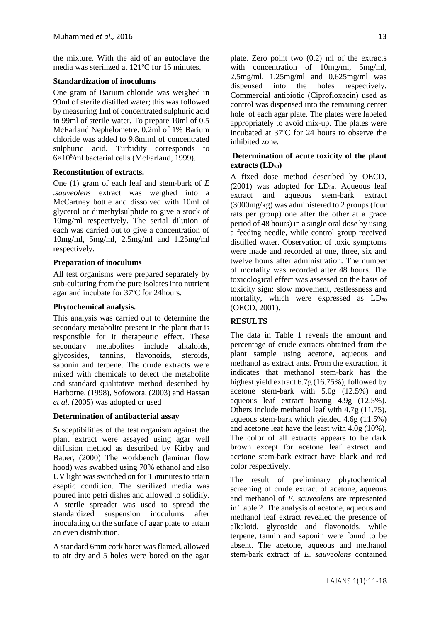the mixture. With the aid of an autoclave the media was sterilized at 121ºC for 15 minutes.

## **Standardization of inoculums**

One gram of Barium chloride was weighed in 99ml of sterile distilled water; this was followed by measuring 1ml of concentrated sulphuric acid in 99ml of sterile water. To prepare 10ml of 0.5 McFarland Nephelometre. 0.2ml of 1% Barium chloride was added to 9.8mlml of concentrated sulphuric acid. Turbidity corresponds to 6×10<sup>8</sup> /ml bacterial cells (McFarland, 1999).

# **Reconstitution of extracts.**

One (1) gram of each leaf and stem-bark of *E .sauveolens* extract was weighed into a McCartney bottle and dissolved with 10ml of glycerol or dimethylsulphide to give a stock of 10mg/ml respectively. The serial dilution of each was carried out to give a concentration of 10mg/ml, 5mg/ml, 2.5mg/ml and 1.25mg/ml respectively.

# **Preparation of inoculums**

All test organisms were prepared separately by sub-culturing from the pure isolates into nutrient agar and incubate for 37ºC for 24hours.

## **Phytochemical analysis.**

This analysis was carried out to determine the secondary metabolite present in the plant that is responsible for it therapeutic effect. These secondary metabolites include alkaloids, glycosides, tannins, flavonoids, steroids, saponin and terpene. The crude extracts were mixed with chemicals to detect the metabolite and standard qualitative method described by Harborne, (1998), Sofowora, (2003) and Hassan *et al*. (2005) was adopted or used

### **Determination of antibacterial assay**

Susceptibilities of the test organism against the plant extract were assayed using agar well diffusion method as described by Kirby and Bauer, (2000) The workbench (laminar flow hood) was swabbed using 70% ethanol and also UV light was switched on for 15minutes to attain aseptic condition. The sterilized media was poured into petri dishes and allowed to solidify. A sterile spreader was used to spread the standardized suspension inoculums after inoculating on the surface of agar plate to attain an even distribution.

A standard 6mm cork borer was flamed, allowed to air dry and 5 holes were bored on the agar plate. Zero point two (0.2) ml of the extracts with concentration of 10mg/ml, 5mg/ml, 2.5mg/ml, 1.25mg/ml and 0.625mg/ml was dispensed into the holes respectively. Commercial antibiotic (Ciprofloxacin) used as control was dispensed into the remaining center hole of each agar plate. The plates were labeled appropriately to avoid mix-up. The plates were incubated at 37ºC for 24 hours to observe the inhibited zone.

## **Determination of acute toxicity of the plant extracts (LD50)**

A fixed dose method described by OECD, (2001) was adopted for  $LD_{50}$ . Aqueous leaf extract and aqueous stem-bark extract (3000mg/kg) was administered to 2 groups (four rats per group) one after the other at a grace period of 48 hours) in a single oral dose by using a feeding needle, while control group received distilled water. Observation of toxic symptoms were made and recorded at one, three, six and twelve hours after administration. The number of mortality was recorded after 48 hours. The toxicological effect was assessed on the basis of toxicity sign: slow movement, restlessness and mortality, which were expressed as  $LD_{50}$ (OECD, 2001).

# **RESULTS**

The data in Table 1 reveals the amount and percentage of crude extracts obtained from the plant sample using acetone, aqueous and methanol as extract ants. From the extraction, it indicates that methanol stem-bark has the highest yield extract 6.7g (16.75%), followed by acetone stem-bark with 5.0g (12.5%) and aqueous leaf extract having 4.9g (12.5%). Others include methanol leaf with 4.7g (11.75), aqueous stem-bark which yielded 4.6g (11.5%) and acetone leaf have the least with 4.0g (10%). The color of all extracts appears to be dark brown except for acetone leaf extract and acetone stem-bark extract have black and red color respectively.

The result of preliminary phytochemical screening of crude extract of acetone, aqueous and methanol of *E. sauveolens* are represented in Table 2. The analysis of acetone, aqueous and methanol leaf extract revealed the presence of alkaloid, glycoside and flavonoids, while terpene, tannin and saponin were found to be absent. The acetone, aqueous and methanol stem-bark extract of *E. sauveolens* contained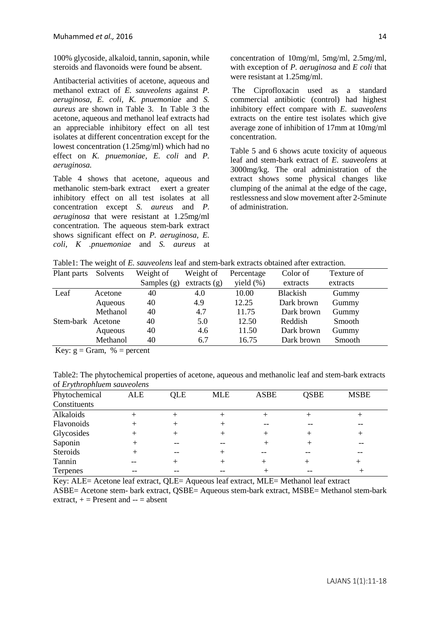100% glycoside, alkaloid, tannin, saponin, while steroids and flavonoids were found be absent.

Antibacterial activities of acetone, aqueous and methanol extract of *E. sauveolens* against *P. aeruginosa, E. coli, K. pnuemoniae* and *S. aureus* are shown in Table 3. In Table 3 the acetone, aqueous and methanol leaf extracts had an appreciable inhibitory effect on all test isolates at different concentration except for the lowest concentration (1.25mg/ml) which had no effect on *K. pnuemoniae, E. coli* and *P. aeruginosa.*

Table 4 shows that acetone, aqueous and methanolic stem-bark extract exert a greater inhibitory effect on all test isolates at all concentration except *S. aureus* and *P. aeruginosa* that were resistant at 1.25mg/ml concentration. The aqueous stem-bark extract shows significant effect on *P. aeruginosa, E. coli, K .pnuemoniae* and *S. aureus* at concentration of 10mg/ml, 5mg/ml, 2.5mg/ml, with exception of *P. aeruginosa* and *E coli* that were resistant at 1.25mg/ml.

The Ciprofloxacin used as a standard commercial antibiotic (control) had highest inhibitory effect compare with *E. suaveolens*  extracts on the entire test isolates which give average zone of inhibition of 17mm at 10mg/ml concentration.

Table 5 and 6 shows acute toxicity of aqueous leaf and stem-bark extract of *E. suaveolens* at 3000mg/kg. The oral administration of the extract shows some physical changes like clumping of the animal at the edge of the cage, restlessness and slow movement after 2-5minute of administration.

Table1: The weight of *E. sauveolens* leaf and stem-bark extracts obtained after extraction.

| Plant parts | Solvents | Weight of     | Weight of    | Percentage   | Color of        | Texture of |
|-------------|----------|---------------|--------------|--------------|-----------------|------------|
|             |          | Samples $(g)$ | extracts (g) | yield $(\%)$ | extracts        | extracts   |
| Leaf        | Acetone  | 40            | 4.0          | 10.00        | <b>Blackish</b> | Gummy      |
|             | Aqueous  | 40            | 4.9          | 12.25        | Dark brown      | Gummy      |
|             | Methanol | 40            | 4.7          | 11.75        | Dark brown      | Gummy      |
| Stem-bark   | Acetone  | 40            | 5.0          | 12.50        | Reddish         | Smooth     |
|             | Aqueous  | 40            | 4.6          | 11.50        | Dark brown      | Gummy      |
|             | Methanol | 40            | 6.7          | 16.75        | Dark brown      | Smooth     |
|             |          |               |              |              |                 |            |

Key:  $g = Gram$ , % = percent

Table2: The phytochemical properties of acetone, aqueous and methanolic leaf and stem-bark extracts of *Erythrophluem sauveolens*

| Phytochemical   | ALE | <b>QLE</b> | <b>MLE</b> | <b>ASBE</b> | <b>QSBE</b> | <b>MSBE</b> |  |
|-----------------|-----|------------|------------|-------------|-------------|-------------|--|
| Constituents    |     |            |            |             |             |             |  |
| Alkaloids       |     |            |            |             |             |             |  |
| Flavonoids      | ┿   |            |            |             |             |             |  |
| Glycosides      | ┿   |            |            |             |             |             |  |
| Saponin         |     |            |            |             |             |             |  |
| Steroids        |     |            |            |             |             |             |  |
| Tannin          |     |            |            |             |             |             |  |
| <b>Terpenes</b> |     |            |            |             |             |             |  |

Key: ALE= Acetone leaf extract, QLE= Aqueous leaf extract, MLE= Methanol leaf extract ASBE= Acetone stem- bark extract, QSBE= Aqueous stem-bark extract, MSBE= Methanol stem-bark extract,  $+$  = Present and  $-$  = absent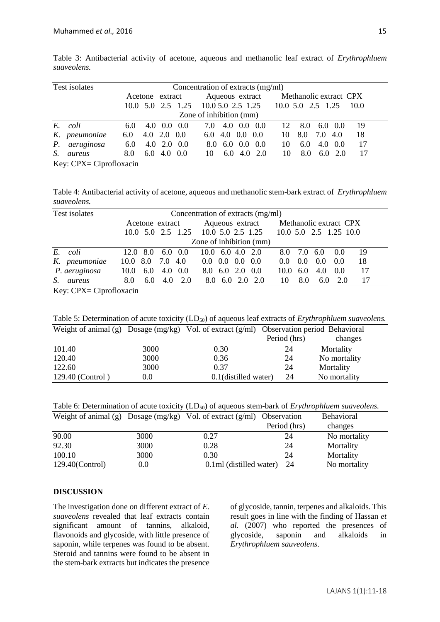| Test isolates           |               |     |  |                           |                              | Concentration of extracts (mg/ml) |                         |                 |      |                                     |                        |               |         |      |  |
|-------------------------|---------------|-----|--|---------------------------|------------------------------|-----------------------------------|-------------------------|-----------------|------|-------------------------------------|------------------------|---------------|---------|------|--|
|                         |               |     |  | Acetone extract           |                              |                                   | Aqueous extract         |                 |      |                                     | Methanolic extract CPX |               |         |      |  |
|                         |               |     |  |                           | $10.0 \t 5.0 \t 2.5 \t 1.25$ |                                   |                         |                 |      | 10.0 5.0 2.5 1.25 10.0 5.0 2.5 1.25 |                        |               |         | 10.0 |  |
| Zone of inhibition (mm) |               |     |  |                           |                              |                                   |                         |                 |      |                                     |                        |               |         |      |  |
| E.                      | coli          | 6.0 |  | $4.0 \quad 0.0 \quad 0.0$ |                              | 7.0                               |                         | 4.0 0.0         | 0.0  | 12                                  | 8.0                    |               | 6.0 0.0 | 19   |  |
|                         | K. pneumoniae | 6.0 |  | $4.0$ $2.0$ $0.0$         |                              |                                   | $6.0$ 4.0 0.0 0.0       |                 |      | 10                                  | 8.0                    | 7.0           | 4.0     | 18   |  |
| $P_{\rm c}$             | aeruginosa    | 6.0 |  | $4.0$ $2.0$ $0.0$         |                              |                                   | $8.0\quad 6.0\quad 0.0$ |                 | -0.0 | 10                                  | $6.0^{\circ}$          | 4.0           | 0.0     | 17   |  |
| S.                      | aureus        | 8.0 |  | $6.0\quad 4.0\quad 0.0$   |                              | 10                                |                         | $6.0 \quad 4.0$ | 2.0  | 10                                  | 8.0                    | $6.0^{\circ}$ | 2.0     | 17   |  |

Table 3: Antibacterial activity of acetone, aqueous and methanolic leaf extract of *Erythrophluem suaveolens.*

Key: CPX= Ciprofloxacin

Table 4: Antibacterial activity of acetone, aqueous and methanolic stem-bark extract of *Erythrophluem suaveolens.*

| Test isolates         |                                 | Concentration of extracts (mg/ml)    |                                                            |  |
|-----------------------|---------------------------------|--------------------------------------|------------------------------------------------------------|--|
|                       | Acetone extract                 |                                      | Aqueous extract Methanolic extract CPX                     |  |
|                       |                                 |                                      | 10.0 5.0 2.5 1.25 10.0 5.0 2.5 1.25 10.0 5.0 2.5 1.25 10.0 |  |
|                       |                                 | Zone of inhibition (mm)              |                                                            |  |
| E. coli               | $6.0 \quad 0.0$<br>$12.0 \t8.0$ | $10.0 \quad 6.0 \quad 4.0 \quad 2.0$ | 19<br>8.0 7.0 6.0<br>0.0                                   |  |
| K. pneumoniae         | 10.0 8.0 7.0 4.0                | $0.0\quad 0.0\quad 0.0\quad 0.0$     | 18<br>0.0<br>0.0<br>0.0<br>$0.0^{\circ}$                   |  |
| P. aeruginosa<br>10.0 | 4.0 0.0<br>6.0                  | 8.0 6.0 2.0 0.0                      | 17<br>$10.0 \quad 6.0$<br>-0.0<br>4.0                      |  |
| S.<br>8.0<br>aureus   | 4.0<br>2.0<br>6.0               | 8.0 6.0 2.0 2.0                      | 17<br>8.0<br>6.0<br>2.0<br>10                              |  |

Key: CPX= Ciprofloxacin

Table 5: Determination of acute toxicity (LD<sub>50</sub>) of aqueous leaf extracts of *Erythrophluem suaveolens*.

|                  |         | Weight of animal (g) Dosage (mg/kg) Vol. of extract (g/ml) Observation period Behavioral |              |              |  |
|------------------|---------|------------------------------------------------------------------------------------------|--------------|--------------|--|
|                  |         |                                                                                          | Period (hrs) | changes      |  |
| 101.40           | 3000    | 0.30                                                                                     | 24           | Mortality    |  |
| 120.40           | 3000    | 0.36                                                                                     | 24           | No mortality |  |
| 122.60           | 3000    | 0.37                                                                                     | 24           | Mortality    |  |
| 129.40 (Control) | $0.0\,$ | 0.1(distilled water)                                                                     | 24           | No mortality |  |

Table 6: Determination of acute toxicity (LD<sub>50</sub>) of aqueous stem-bark of *Erythrophluem suaveolens*.

|                    |         | Weight of animal (g) Dosage $(mg/kg)$ Vol. of extract $(g/ml)$ Observation |              | <b>Behavioral</b> |
|--------------------|---------|----------------------------------------------------------------------------|--------------|-------------------|
|                    |         |                                                                            | Period (hrs) | changes           |
| 90.00              | 3000    | 0.27                                                                       | 24           | No mortality      |
| 92.30              | 3000    | 0.28                                                                       | 24           | Mortality         |
| 100.10             | 3000    | 0.30                                                                       | 24           | Mortality         |
| $129.40$ (Control) | $0.0\,$ | 0.1ml (distilled water)                                                    | 24           | No mortality      |

#### **DISCUSSION**

The investigation done on different extract of *E. suaveolens* revealed that leaf extracts contain significant amount of tannins, alkaloid, flavonoids and glycoside, with little presence of saponin, while terpenes was found to be absent. Steroid and tannins were found to be absent in the stem-bark extracts but indicates the presence

of glycoside, tannin, terpenes and alkaloids. This result goes in line with the finding of Hassan *et al.* (2007) who reported the presences of glycoside, saponin and alkaloids in *Erythrophluem sauveolens*.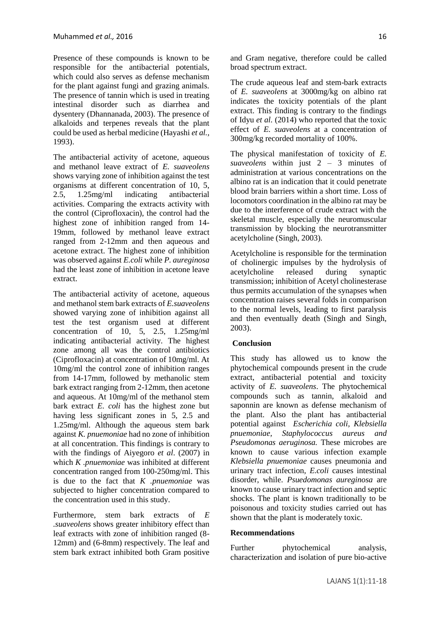Presence of these compounds is known to be responsible for the antibacterial potentials, which could also serves as defense mechanism for the plant against fungi and grazing animals. The presence of tannin which is used in treating intestinal disorder such as diarrhea and dysentery (Dhannanada, 2003). The presence of alkaloids and terpenes reveals that the plant could be used as herbal medicine (Hayashi *et al.,* 1993).

The antibacterial activity of acetone, aqueous and methanol leave extract of *E. suaveolens* shows varying zone of inhibition against the test organisms at different concentration of 10, 5, 2.5, 1.25mg/ml indicating antibacterial activities. Comparing the extracts activity with the control (Ciprofloxacin), the control had the highest zone of inhibition ranged from 14- 19mm, followed by methanol leave extract ranged from 2-12mm and then aqueous and acetone extract. The highest zone of inhibition was observed against *E.coli* while *P. aureginosa* had the least zone of inhibition in acetone leave extract.

The antibacterial activity of acetone, aqueous and methanol stem bark extracts of *E.suaveolens* showed varying zone of inhibition against all test the test organism used at different concentration of 10, 5, 2.5, 1.25mg/ml indicating antibacterial activity. The highest zone among all was the control antibiotics (Ciprofloxacin) at concentration of 10mg/ml. At 10mg/ml the control zone of inhibition ranges from 14-17mm, followed by methanolic stem bark extract ranging from 2-12mm, then acetone and aqueous. At 10mg/ml of the methanol stem bark extract *E. coli* has the highest zone but having less significant zones in 5, 2.5 and 1.25mg/ml. Although the aqueous stem bark against *K. pnuemoniae* had no zone of inhibition at all concentration. This findings is contrary to with the findings of Aiyegoro *et al*. (2007) in which *K .pnuemoniae* was inhibited at different concentration ranged from 100-250mg/ml. This is due to the fact that *K .pnuemoniae* was subjected to higher concentration compared to the concentration used in this study.

Furthermore, stem bark extracts of *E .suaveolens* shows greater inhibitory effect than leaf extracts with zone of inhibition ranged (8- 12mm) and (6-8mm) respectively. The leaf and stem bark extract inhibited both Gram positive

The crude aqueous leaf and stem-bark extracts of *E. suaveolens* at 3000mg/kg on albino rat indicates the toxicity potentials of the plant extract. This finding is contrary to the findings of Idyu *et al.* (2014) who reported that the toxic effect of *E. suaveolens* at a concentration of 300mg/kg recorded mortality of 100%.

The physical manifestation of toxicity of *E. suaveolens* within just 2 – 3 minutes of administration at various concentrations on the albino rat is an indication that it could penetrate blood brain barriers within a short time. Loss of locomotors coordination in the albino rat may be due to the interference of crude extract with the skeletal muscle, especially the neuromuscular transmission by blocking the neurotransmitter acetylcholine (Singh, 2003).

Acetylcholine is responsible for the termination of cholinergic impulses by the hydrolysis of acetylcholine released during synaptic transmission; inhibition of Acetyl cholinesterase thus permits accumulation of the synapses when concentration raises several folds in comparison to the normal levels, leading to first paralysis and then eventually death (Singh and Singh, 2003).

### **Conclusion**

This study has allowed us to know the phytochemical compounds present in the crude extract, antibacterial potential and toxicity activity of *E. suaveolens*. The phytochemical compounds such as tannin, alkaloid and saponnin are known as defense mechanism of the plant. Also the plant has antibacterial potential against *Escherichia coli, Klebsiella pnuemoniae, Staphylococcus aureus and Pseudomonas aeruginosa.* These microbes are known to cause various infection example *Klebsiella pnuemoniae* causes pneumonia and urinary tract infection, *E.coli* causes intestinal disorder, while. *Psuedomonas aureginosa* are known to cause urinary tract infection and septic shocks. The plant is known traditionally to be poisonous and toxicity studies carried out has shown that the plant is moderately toxic.

### **Recommendations**

Further phytochemical analysis, characterization and isolation of pure bio-active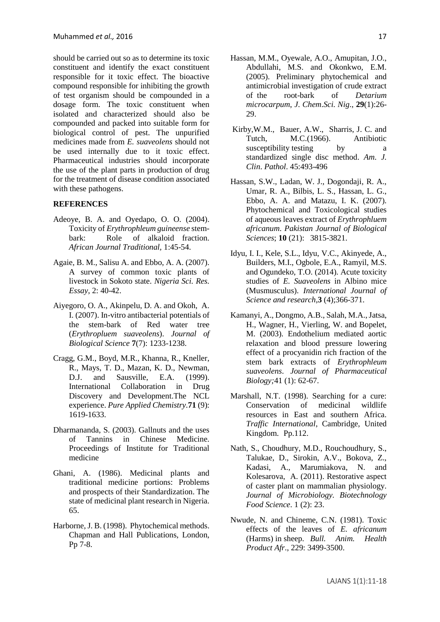should be carried out so as to determine its toxic constituent and identify the exact constituent responsible for it toxic effect. The bioactive compound responsible for inhibiting the growth of test organism should be compounded in a dosage form. The toxic constituent when isolated and characterized should also be compounded and packed into suitable form for biological control of pest. The unpurified medicines made from *E. suaveolens* should not be used internally due to it toxic effect. Pharmaceutical industries should incorporate the use of the plant parts in production of drug for the treatment of disease condition associated with these pathogens.

#### **REFERENCES**

- Adeoye, B. A. and Oyedapo, O. O. (2004). Toxicity of *Erythrophleum guineense* stembark: Role of alkaloid fraction. *African Journal Traditional,* 1:45-54.
- Agaie, B. M., Salisu A. and Ebbo, A. A. (2007). A survey of common toxic plants of livestock in Sokoto state. *Nigeria Sci. Res. Essay*, 2: 40-42.
- Aiyegoro, O. A., Akinpelu, D. A. and Okoh, A. I. (2007). In-vitro antibacterial potentials of the stem-bark of Red water tree (*Erythropluem suaveolens*). *Journal of Biological Science* **7**(7): 1233-1238.
- Cragg, G.M., Boyd, M.R., Khanna, R., Kneller, R., Mays, T. D., Mazan, K. D., Newman, D.J. and Sausville, E.A. (1999). International Collaboration in Drug Discovery and Development.The NCL experience. *Pure Applied Chemistry.***71** (9): 1619-1633.
- Dharmananda, S. (2003). Gallnuts and the uses of Tannins in Chinese Medicine. Proceedings of Institute for Traditional medicine
- Ghani, A. (1986). Medicinal plants and traditional medicine portions: Problems and prospects of their Standardization. The state of medicinal plant research in Nigeria. 65.
- Harborne, J. B. (1998). Phytochemical methods. Chapman and Hall Publications, London, Pp 7-8.
- Hassan, M.M., Oyewale, A.O., Amupitan, J.O., Abdullahi, M.S. and Okonkwo, E.M. (2005). Preliminary phytochemical and antimicrobial investigation of crude extract of the root-bark of *Detarium microcarpum*, *J*. *Chem*.*Sci. Nig*., **29**(1):26- 29.
- Kirby,W.M., Bauer, A.W., Sharris, J. C. and Tutch, M.C.(1966). Antibiotic susceptibility testing by a standardized single disc method. *Am*. *J. Clin*. *Pathol*. 45:493-496
- Hassan, S.W., Ladan, W. J., Dogondaji, R. A., Umar, R. A., Bilbis, L. S., Hassan, L. G., Ebbo, A. A. and Matazu, I. K. (2007). Phytochemical and Toxicological studies of aqueous leaves extract of *Erythrophluem africanum*. *Pakistan Journal of Biological Sciences*; **10** (21): 3815-3821.
- Idyu, I. I., Kele, S.L., Idyu, V.C., Akinyede, A., Builders, M.I., Ogbole, E.A., Ramyil, M.S. and Ogundeko, T.O. (2014). Acute toxicity studies of *E. Suaveolens* in Albino mice (Musmusculus). *International Journal of Science and research*,**3** (4);366-371.
- Kamanyi, A., Dongmo, A.B., Salah, M.A., Jatsa, H., Wagner, H., Vierling, W. and Bopelet, M. (2003). Endothelium mediated aortic relaxation and blood pressure lowering effect of a procyanidin rich fraction of the stem bark extracts of *Erythrophleum suaveolens*. *Journal of Pharmaceutical Biology;*41 (1): 62-67.
- Marshall, N.T. (1998). Searching for a cure: Conservation of medicinal wildlife resources in East and southern Africa. *Traffic International*, Cambridge, United Kingdom. Pp.112.
- Nath, S., Choudhury, M.D., Rouchoudhury, S., Talukae, D., Sirokin, A.V., Bokova, Z., Kadasi, A., Marumiakova, N. and Kolesarova, A. (2011). Restorative aspect of caster plant on mammalian physiology. *Journal of Microbiology. Biotechnology Food Science*. 1 (2): 23.
- Nwude, N. and Chineme, C.N. (1981). Toxic effects of the leaves of *E. africanum* (Harms) in sheep. *Bull. Anim. Health Product Afr*., 229: 3499-3500.